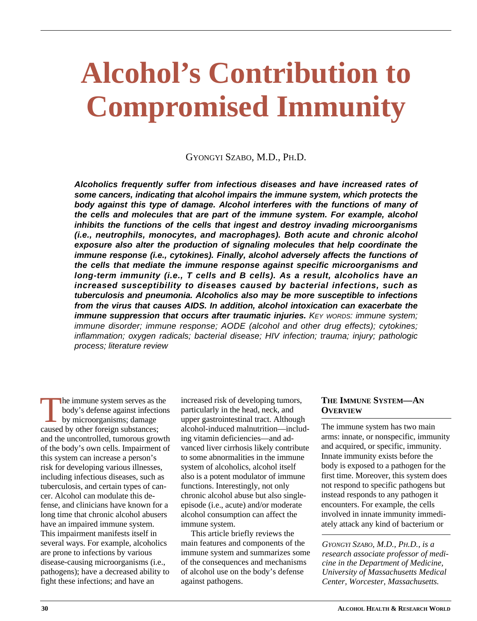# **Alcohol's Contribution to Compromised Immunity**

GYONGYI SZABO, M.D., PH.D.

**Alcoholics frequently suffer from infectious diseases and have increased rates of some cancers, indicating that alcohol impairs the immune system, which protects the body against this type of damage. Alcohol interferes with the functions of many of the cells and molecules that are part of the immune system. For example, alcohol inhibits the functions of the cells that ingest and destroy invading microorganisms (i.e., neutrophils, monocytes, and macrophages). Both acute and chronic alcohol exposure also alter the production of signaling molecules that help coordinate the immune response (i.e., cytokines). Finally, alcohol adversely affects the functions of the cells that mediate the immune response against specific microorganisms and long-term immunity (i.e., T cells and B cells). As a result, alcoholics have an increased susceptibility to diseases caused by bacterial infections, such as tuberculosis and pneumonia. Alcoholics also may be more susceptible to infections from the virus that causes AIDS. In addition, alcohol intoxication can exacerbate the immune suppression that occurs after traumatic injuries.** KEY WORDS: immune system; immune disorder; immune response; AODE (alcohol and other drug effects); cytokines; inflammation; oxygen radicals; bacterial disease; HIV infection; trauma; injury; pathologic process; literature review

The immune system serves as the<br>body's defense against infection<br>by microorganisms; damage<br>caused by other foreign substances: body's defense against infections by microorganisms; damage caused by other foreign substances; and the uncontrolled, tumorous growth of the body's own cells. Impairment of this system can increase a person's risk for developing various illnesses, including infectious diseases, such as tuberculosis, and certain types of cancer. Alcohol can modulate this defense, and clinicians have known for a long time that chronic alcohol abusers have an impaired immune system. This impairment manifests itself in several ways. For example, alcoholics are prone to infections by various disease-causing microorganisms (i.e., pathogens); have a decreased ability to fight these infections; and have an

increased risk of developing tumors, particularly in the head, neck, and upper gastrointestinal tract. Although alcohol-induced malnutrition—including vitamin deficiencies—and advanced liver cirrhosis likely contribute to some abnormalities in the immune system of alcoholics, alcohol itself also is a potent modulator of immune functions. Interestingly, not only chronic alcohol abuse but also singleepisode (i.e., acute) and/or moderate alcohol consumption can affect the immune system.

This article briefly reviews the main features and components of the immune system and summarizes some of the consequences and mechanisms of alcohol use on the body's defense against pathogens.

# **THE IMMUNE SYSTEM—AN OVERVIEW**

The immune system has two main arms: innate, or nonspecific, immunity and acquired, or specific, immunity. Innate immunity exists before the body is exposed to a pathogen for the first time. Moreover, this system does not respond to specific pathogens but instead responds to any pathogen it encounters. For example, the cells involved in innate immunity immediately attack any kind of bacterium or

*GYONGYI SZABO, M.D., PH.D., is a research associate professor of medicine in the Department of Medicine, University of Massachusetts Medical Center, Worcester, Massachusetts.*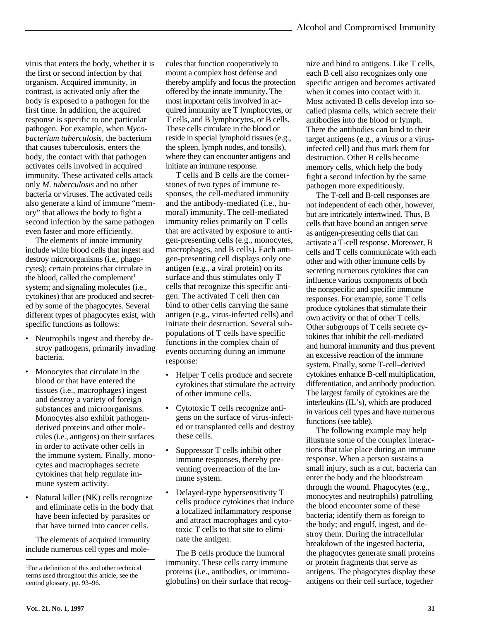virus that enters the body, whether it is the first or second infection by that organism. Acquired immunity, in contrast, is activated only after the body is exposed to a pathogen for the first time. In addition, the acquired response is specific to one particular pathogen. For example, when *Mycobacterium tuberculosis,* the bacterium that causes tuberculosis, enters the body, the contact with that pathogen activates cells involved in acquired immunity. These activated cells attack only *M. tuberculosis* and no other bacteria or viruses. The activated cells also generate a kind of immune "memory" that allows the body to fight a second infection by the same pathogen even faster and more efficiently.

The elements of innate immunity include white blood cells that ingest and destroy microorganisms (i.e., phagocytes); certain proteins that circulate in the blood, called the complement $1$ system; and signaling molecules (i.e., cytokines) that are produced and secreted by some of the phagocytes. Several different types of phagocytes exist, with specific functions as follows:

- Neutrophils ingest and thereby destroy pathogens, primarily invading bacteria.
- Monocytes that circulate in the blood or that have entered the tissues (i.e., macrophages) ingest and destroy a variety of foreign substances and microorganisms. Monocytes also exhibit pathogenderived proteins and other molecules (i.e., antigens) on their surfaces in order to activate other cells in the immune system. Finally, monocytes and macrophages secrete cytokines that help regulate immune system activity.
- Natural killer (NK) cells recognize and eliminate cells in the body that have been infected by parasites or that have turned into cancer cells.

The elements of acquired immunity include numerous cell types and molecules that function cooperatively to mount a complex host defense and thereby amplify and focus the protection offered by the innate immunity. The most important cells involved in acquired immunity are T lymphocytes, or T cells, and B lymphocytes, or B cells. These cells circulate in the blood or reside in special lymphoid tissues (e.g., the spleen, lymph nodes, and tonsils), where they can encounter antigens and initiate an immune response.

T cells and B cells are the cornerstones of two types of immune responses, the cell-mediated immunity and the antibody-mediated (i.e., humoral) immunity. The cell-mediated immunity relies primarily on T cells that are activated by exposure to antigen-presenting cells (e.g., monocytes, macrophages, and B cells). Each antigen-presenting cell displays only one antigen (e.g., a viral protein) on its surface and thus stimulates only T cells that recognize this specific antigen. The activated T cell then can bind to other cells carrying the same antigen (e.g., virus-infected cells) and initiate their destruction. Several subpopulations of T cells have specific functions in the complex chain of events occurring during an immune response:

- Helper T cells produce and secrete cytokines that stimulate the activity of other immune cells.
- Cytotoxic T cells recognize antigens on the surface of virus-infected or transplanted cells and destroy these cells.
- Suppressor T cells inhibit other immune responses, thereby preventing overreaction of the immune system.
- Delayed-type hypersensitivity T cells produce cytokines that induce a localized inflammatory response and attract macrophages and cytotoxic T cells to that site to eliminate the antigen.

The B cells produce the humoral immunity. These cells carry immune proteins (i.e., antibodies, or immunoglobulins) on their surface that recognize and bind to antigens. Like T cells, each B cell also recognizes only one specific antigen and becomes activated when it comes into contact with it. Most activated B cells develop into socalled plasma cells, which secrete their antibodies into the blood or lymph. There the antibodies can bind to their target antigens (e.g., a virus or a virusinfected cell) and thus mark them for destruction. Other B cells become memory cells, which help the body fight a second infection by the same pathogen more expeditiously.

The T-cell and B-cell responses are not independent of each other, however, but are intricately intertwined. Thus, B cells that have bound an antigen serve as antigen-presenting cells that can activate a T-cell response. Moreover, B cells and T cells communicate with each other and with other immune cells by secreting numerous cytokines that can influence various components of both the nonspecific and specific immune responses. For example, some T cells produce cytokines that stimulate their own activity or that of other T cells. Other subgroups of T cells secrete cytokines that inhibit the cell-mediated and humoral immunity and thus prevent an excessive reaction of the immune system. Finally, some T-cell–derived cytokines enhance B-cell multiplication, differentiation, and antibody production. The largest family of cytokines are the interleukins (IL's), which are produced in various cell types and have numerous functions (see table).

The following example may help illustrate some of the complex interactions that take place during an immune response. When a person sustains a small injury, such as a cut, bacteria can enter the body and the bloodstream through the wound. Phagocytes (e.g., monocytes and neutrophils) patrolling the blood encounter some of these bacteria; identify them as foreign to the body; and engulf, ingest, and destroy them. During the intracellular breakdown of the ingested bacteria, the phagocytes generate small proteins or protein fragments that serve as antigens. The phagocytes display these antigens on their cell surface, together

<sup>1</sup> For a definition of this and other technical terms used throughout this article, see the central glossary, pp. 93–96.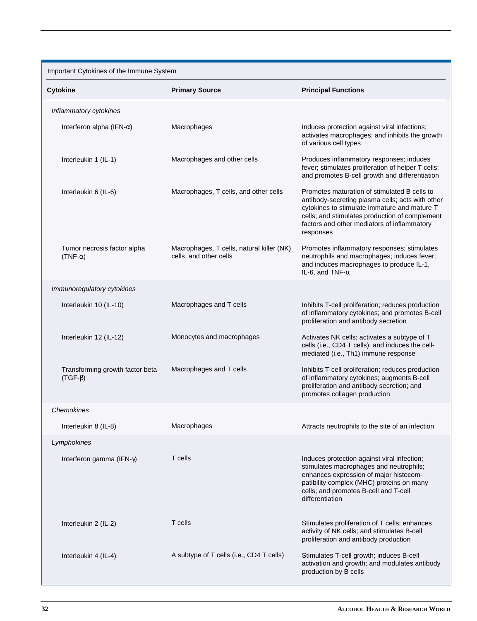Important Cytokines of the Immune System

| <b>Cytokine</b>                                  | <b>Primary Source</b>                                               | <b>Principal Functions</b>                                                                                                                                                                                                                                     |
|--------------------------------------------------|---------------------------------------------------------------------|----------------------------------------------------------------------------------------------------------------------------------------------------------------------------------------------------------------------------------------------------------------|
| Inflammatory cytokines                           |                                                                     |                                                                                                                                                                                                                                                                |
| Interferon alpha (IFN- $\alpha$ )                | Macrophages                                                         | Induces protection against viral infections;<br>activates macrophages; and inhibits the growth<br>of various cell types                                                                                                                                        |
| Interleukin 1 (IL-1)                             | Macrophages and other cells                                         | Produces inflammatory responses; induces<br>fever; stimulates proliferation of helper T cells;<br>and promotes B-cell growth and differentiation                                                                                                               |
| Interleukin 6 (IL-6)                             | Macrophages, T cells, and other cells                               | Promotes maturation of stimulated B cells to<br>antibody-secreting plasma cells; acts with other<br>cytokines to stimulate immature and mature T<br>cells; and stimulates production of complement<br>factors and other mediators of inflammatory<br>responses |
| Tumor necrosis factor alpha<br>$(TNF-\alpha)$    | Macrophages, T cells, natural killer (NK)<br>cells, and other cells | Promotes inflammatory responses; stimulates<br>neutrophils and macrophages; induces fever;<br>and induces macrophages to produce IL-1,<br>IL-6, and TNF- $\alpha$                                                                                              |
| Immunoregulatory cytokines                       |                                                                     |                                                                                                                                                                                                                                                                |
| Interleukin 10 (IL-10)                           | Macrophages and T cells                                             | Inhibits T-cell proliferation; reduces production<br>of inflammatory cytokines; and promotes B-cell<br>proliferation and antibody secretion                                                                                                                    |
| Interleukin 12 (IL-12)                           | Monocytes and macrophages                                           | Activates NK cells; activates a subtype of T<br>cells (i.e., CD4 T cells); and induces the cell-<br>mediated (i.e., Th1) immune response                                                                                                                       |
| Transforming growth factor beta<br>$(TGF-\beta)$ | Macrophages and T cells                                             | Inhibits T-cell proliferation; reduces production<br>of inflammatory cytokines; augments B-cell<br>proliferation and antibody secretion; and<br>promotes collagen production                                                                                   |
| <b>Chemokines</b>                                |                                                                     |                                                                                                                                                                                                                                                                |
| Interleukin 8 (IL-8)                             | Macrophages                                                         | Attracts neutrophils to the site of an infection                                                                                                                                                                                                               |
| Lymphokines                                      |                                                                     |                                                                                                                                                                                                                                                                |
| Interferon gamma (IFN-γ)                         | T cells                                                             | Induces protection against viral infection;<br>stimulates macrophages and neutrophils;<br>enhances expression of major histocom-<br>patibility complex (MHC) proteins on many<br>cells; and promotes B-cell and T-cell<br>differentiation                      |
| Interleukin 2 (IL-2)                             | T cells                                                             | Stimulates proliferation of T cells; enhances<br>activity of NK cells; and stimulates B-cell<br>proliferation and antibody production                                                                                                                          |
| Interleukin 4 (IL-4)                             | A subtype of T cells (i.e., CD4 T cells)                            | Stimulates T-cell growth; induces B-cell<br>activation and growth; and modulates antibody<br>production by B cells                                                                                                                                             |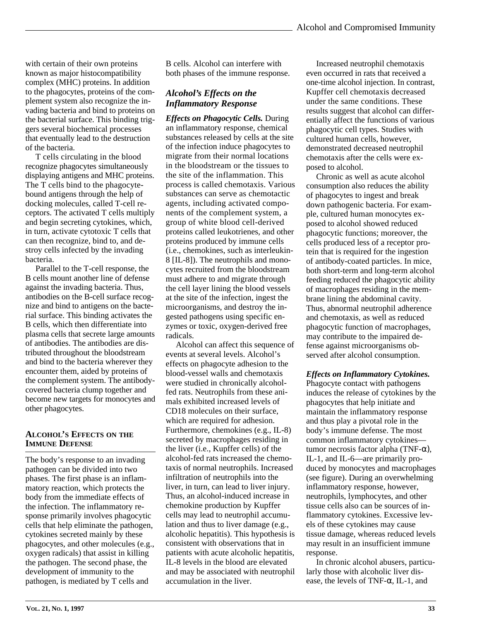tributed throughout the bloodstream and bind to the bacteria wherever they encounter them, aided by proteins of the complement system. The antibodycovered bacteria clump together and become new targets for monocytes and other phagocytes.

Parallel to the T-cell response, the B cells mount another line of defense against the invading bacteria. Thus, antibodies on the B-cell surface recognize and bind to antigens on the bacterial surface. This binding activates the B cells, which then differentiate into plasma cells that secrete large amounts of antibodies. The antibodies are dis-

with certain of their own proteins known as major histocompatibility complex (MHC) proteins. In addition to the phagocytes, proteins of the complement system also recognize the invading bacteria and bind to proteins on the bacterial surface. This binding triggers several biochemical processes that eventually lead to the destruction

T cells circulating in the blood recognize phagocytes simultaneously displaying antigens and MHC proteins. The T cells bind to the phagocytebound antigens through the help of docking molecules, called T-cell receptors. The activated T cells multiply and begin secreting cytokines, which, in turn, activate cytotoxic T cells that can then recognize, bind to, and destroy cells infected by the invading

of the bacteria.

bacteria.

#### **ALCOHOL'S EFFECTS ON THE IMMUNE DEFENSE**

The body's response to an invading pathogen can be divided into two phases. The first phase is an inflammatory reaction, which protects the body from the immediate effects of the infection. The inflammatory response primarily involves phagocytic cells that help eliminate the pathogen, cytokines secreted mainly by these phagocytes, and other molecules (e.g., oxygen radicals) that assist in killing the pathogen. The second phase, the development of immunity to the pathogen, is mediated by T cells and

B cells. Alcohol can interfere with both phases of the immune response.

# *Alcohol's Effects on the Inflammatory Response*

*Effects on Phagocytic Cells.* During an inflammatory response, chemical substances released by cells at the site of the infection induce phagocytes to migrate from their normal locations in the bloodstream or the tissues to the site of the inflammation. This process is called chemotaxis. Various substances can serve as chemotactic agents, including activated components of the complement system, a group of white blood cell-derived proteins called leukotrienes, and other proteins produced by immune cells (i.e., chemokines, such as interleukin-8 [IL-8]). The neutrophils and monocytes recruited from the bloodstream must adhere to and migrate through the cell layer lining the blood vessels at the site of the infection, ingest the microorganisms, and destroy the ingested pathogens using specific enzymes or toxic, oxygen-derived free radicals.

Alcohol can affect this sequence of events at several levels. Alcohol's effects on phagocyte adhesion to the blood-vessel walls and chemotaxis were studied in chronically alcoholfed rats. Neutrophils from these animals exhibited increased levels of CD18 molecules on their surface, which are required for adhesion. Furthermore, chemokines (e.g., IL-8) secreted by macrophages residing in the liver (i.e., Kupffer cells) of the alcohol-fed rats increased the chemotaxis of normal neutrophils. Increased infiltration of neutrophils into the liver, in turn, can lead to liver injury. Thus, an alcohol-induced increase in chemokine production by Kupffer cells may lead to neutrophil accumulation and thus to liver damage (e.g., alcoholic hepatitis). This hypothesis is consistent with observations that in patients with acute alcoholic hepatitis, IL-8 levels in the blood are elevated and may be associated with neutrophil accumulation in the liver.

Increased neutrophil chemotaxis even occurred in rats that received a one-time alcohol injection. In contrast, Kupffer cell chemotaxis decreased under the same conditions. These results suggest that alcohol can differentially affect the functions of various phagocytic cell types. Studies with cultured human cells, however, demonstrated decreased neutrophil chemotaxis after the cells were exposed to alcohol.

Chronic as well as acute alcohol consumption also reduces the ability of phagocytes to ingest and break down pathogenic bacteria. For example, cultured human monocytes exposed to alcohol showed reduced phagocytic functions; moreover, the cells produced less of a receptor protein that is required for the ingestion of antibody-coated particles. In mice, both short-term and long-term alcohol feeding reduced the phagocytic ability of macrophages residing in the membrane lining the abdominal cavity. Thus, abnormal neutrophil adherence and chemotaxis, as well as reduced phagocytic function of macrophages, may contribute to the impaired defense against microorganisms observed after alcohol consumption.

#### *Effects on Inflammatory Cytokines.*

Phagocyte contact with pathogens induces the release of cytokines by the phagocytes that help initiate and maintain the inflammatory response and thus play a pivotal role in the body's immune defense. The most common inflammatory cytokines tumor necrosis factor alpha (TNF- $\alpha$ ), IL-1, and IL-6—are primarily produced by monocytes and macrophages (see figure). During an overwhelming inflammatory response, however, neutrophils, lymphocytes, and other tissue cells also can be sources of inflammatory cytokines. Excessive levels of these cytokines may cause tissue damage, whereas reduced levels may result in an insufficient immune response.

In chronic alcohol abusers, particularly those with alcoholic liver disease, the levels of TNF-α, IL-1, and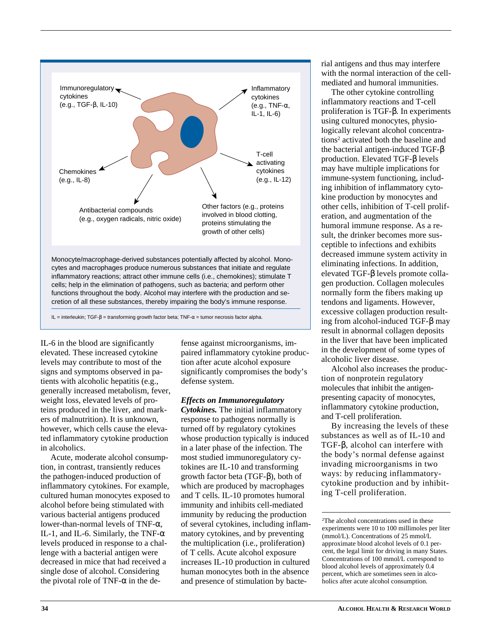

IL-6 in the blood are significantly elevated. These increased cytokine levels may contribute to most of the signs and symptoms observed in patients with alcoholic hepatitis (e.g., generally increased metabolism, fever, weight loss, elevated levels of proteins produced in the liver, and markers of malnutrition). It is unknown, however, which cells cause the elevated inflammatory cytokine production in alcoholics.

Acute, moderate alcohol consumption, in contrast, transiently reduces the pathogen-induced production of inflammatory cytokines. For example, cultured human monocytes exposed to alcohol before being stimulated with various bacterial antigens produced lower-than-normal levels of TNF-α, IL-1, and IL-6. Similarly, the TNF- $\alpha$ levels produced in response to a challenge with a bacterial antigen were decreased in mice that had received a single dose of alcohol. Considering the pivotal role of TNF- $\alpha$  in the de-

fense against microorganisms, impaired inflammatory cytokine production after acute alcohol exposure significantly compromises the body's defense system.

#### *Effects on Immunoregulatory*

*Cytokines.* The initial inflammatory response to pathogens normally is turned off by regulatory cytokines whose production typically is induced in a later phase of the infection. The most studied immunoregulatory cytokines are IL-10 and transforming growth factor beta (TGF-β), both of which are produced by macrophages and T cells. IL-10 promotes humoral immunity and inhibits cell-mediated immunity by reducing the production of several cytokines, including inflammatory cytokines, and by preventing the multiplication (i.e., proliferation) of T cells. Acute alcohol exposure increases IL-10 production in cultured human monocytes both in the absence and presence of stimulation by bacterial antigens and thus may interfere with the normal interaction of the cellmediated and humoral immunities.

The other cytokine controlling inflammatory reactions and T-cell proliferation is TGF-β. In experiments using cultured monocytes, physiologically relevant alcohol concentrations<sup>2</sup> activated both the baseline and the bacterial antigen-induced TGF-β production. Elevated TGF-β levels may have multiple implications for immune-system functioning, including inhibition of inflammatory cytokine production by monocytes and other cells, inhibition of T-cell proliferation, and augmentation of the humoral immune response. As a result, the drinker becomes more susceptible to infections and exhibits decreased immune system activity in eliminating infections. In addition, elevated TGF-β levels promote collagen production. Collagen molecules normally form the fibers making up tendons and ligaments. However, excessive collagen production resulting from alcohol-induced TGF-β may result in abnormal collagen deposits in the liver that have been implicated in the development of some types of alcoholic liver disease.

Alcohol also increases the production of nonprotein regulatory molecules that inhibit the antigenpresenting capacity of monocytes, inflammatory cytokine production, and T-cell proliferation.

By increasing the levels of these substances as well as of IL-10 and TGF-β, alcohol can interfere with the body's normal defense against invading microorganisms in two ways: by reducing inflammatorycytokine production and by inhibiting T-cell proliferation.

<sup>2</sup> The alcohol concentrations used in these experiments were 10 to 100 millimoles per liter (mmol/L). Concentrations of 25 mmol/L approximate blood alcohol levels of 0.1 percent, the legal limit for driving in many States. Concentrations of 100 mmol/L correspond to blood alcohol levels of approximately 0.4 percent, which are sometimes seen in alcoholics after acute alcohol consumption.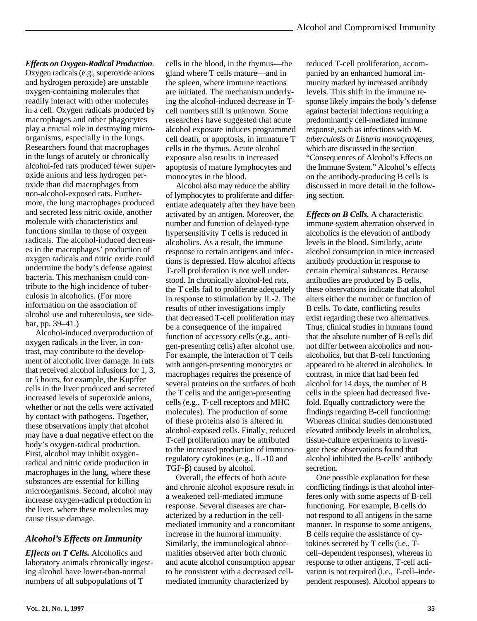#### *Effects on Oxygen-Radical Production*.

Oxygen radicals (e.g., superoxide anions and hydrogen peroxide) are unstable oxygen-containing molecules that readily interact with other molecules in a cell. Oxygen radicals produced by macrophages and other phagocytes play a crucial role in destroying microorganisms, especially in the lungs. Researchers found that macrophages in the lungs of acutely or chronically alcohol-fed rats produced fewer superoxide anions and less hydrogen peroxide than did macrophages from non-alcohol-exposed rats. Furthermore, the lung macrophages produced and secreted less nitric oxide, another molecule with characteristics and functions similar to those of oxygen radicals. The alcohol-induced decreases in the macrophages' production of oxygen radicals and nitric oxide could undermine the body's defense against bacteria. This mechanism could contribute to the high incidence of tuberculosis in alcoholics. (For more information on the association of alcohol use and tuberculosis, see sidebar, pp. 39–41.)

Alcohol-induced overproduction of oxygen radicals in the liver, in contrast, may contribute to the development of alcoholic liver damage. In rats that received alcohol infusions for 1, 3, or 5 hours, for example, the Kupffer cells in the liver produced and secreted increased levels of superoxide anions, whether or not the cells were activated by contact with pathogens. Together, these observations imply that alcohol may have a dual negative effect on the body's oxygen-radical production. First, alcohol may inhibit oxygenradical and nitric oxide production in macrophages in the lung, where these substances are essential for killing microorganisms. Second, alcohol may increase oxygen-radical production in the liver, where these molecules may cause tissue damage.

# *Alcohol's Effects on Immunity*

*Effects on T Cells.* Alcoholics and laboratory animals chronically ingesting alcohol have lower-than-normal numbers of all subpopulations of T

cells in the blood, in the thymus—the gland where T cells mature—and in the spleen, where immune reactions are initiated. The mechanism underlying the alcohol-induced decrease in Tcell numbers still is unknown. Some researchers have suggested that acute alcohol exposure induces programmed cell death, or apoptosis, in immature T cells in the thymus. Acute alcohol exposure also results in increased apoptosis of mature lymphocytes and monocytes in the blood.

Alcohol also may reduce the ability of lymphocytes to proliferate and differentiate adequately after they have been activated by an antigen. Moreover, the number and function of delayed-type hypersensitivity T cells is reduced in alcoholics. As a result, the immune response to certain antigens and infections is depressed. How alcohol affects T-cell proliferation is not well understood. In chronically alcohol-fed rats, the T cells fail to proliferate adequately in response to stimulation by IL-2. The results of other investigations imply that decreased T-cell proliferation may be a consequence of the impaired function of accessory cells (e.g., antigen-presenting cells) after alcohol use. For example, the interaction of T cells with antigen-presenting monocytes or macrophages requires the presence of several proteins on the surfaces of both the T cells and the antigen-presenting cells (e.g., T-cell receptors and MHC molecules). The production of some of these proteins also is altered in alcohol-exposed cells. Finally, reduced T-cell proliferation may be attributed to the increased production of immunoregulatory cytokines (e.g., IL-10 and TGF-β) caused by alcohol.

Overall, the effects of both acute and chronic alcohol exposure result in a weakened cell-mediated immune response. Several diseases are characterized by a reduction in the cellmediated immunity and a concomitant increase in the humoral immunity. Similarly, the immunological abnormalities observed after both chronic and acute alcohol consumption appear to be consistent with a decreased cellmediated immunity characterized by

reduced T-cell proliferation, accompanied by an enhanced humoral immunity marked by increased antibody levels. This shift in the immune response likely impairs the body's defense against bacterial infections requiring a predominantly cell-mediated immune response, such as infections with *M. tuberculosis* or *Listeria monocytogenes,* which are discussed in the section "Consequences of Alcohol's Effects on the Immune System." Alcohol's effects on the antibody-producing B cells is discussed in more detail in the following section.

*Effects on B Cells.* A characteristic immune-system aberration observed in alcoholics is the elevation of antibody levels in the blood. Similarly, acute alcohol consumption in mice increased antibody production in response to certain chemical substances. Because antibodies are produced by B cells, these observations indicate that alcohol alters either the number or function of B cells. To date, conflicting results exist regarding these two alternatives. Thus, clinical studies in humans found that the absolute number of B cells did not differ between alcoholics and nonalcoholics, but that B-cell functioning appeared to be altered in alcoholics. In contrast, in mice that had been fed alcohol for 14 days, the number of B cells in the spleen had decreased fivefold. Equally contradictory were the findings regarding B-cell functioning: Whereas clinical studies demonstrated elevated antibody levels in alcoholics, tissue-culture experiments to investigate these observations found that alcohol inhibited the B-cells' antibody secretion.

One possible explanation for these conflicting findings is that alcohol interferes only with some aspects of B-cell functioning. For example, B cells do not respond to all antigens in the same manner. In response to some antigens, B cells require the assistance of cytokines secreted by T cells (i.e., Tcell–dependent responses), whereas in response to other antigens, T-cell activation is not required (i.e., T-cell–independent responses). Alcohol appears to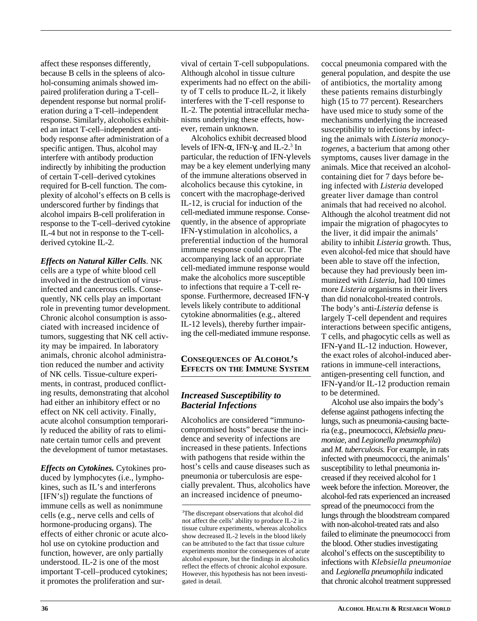affect these responses differently, because B cells in the spleens of alcohol-consuming animals showed impaired proliferation during a T-cell– dependent response but normal proliferation during a T-cell–independent response. Similarly, alcoholics exhibited an intact T-cell–independent antibody response after administration of a specific antigen. Thus, alcohol may interfere with antibody production indirectly by inhibiting the production of certain T-cell–derived cytokines required for B-cell function. The complexity of alcohol's effects on B cells is underscored further by findings that alcohol impairs B-cell proliferation in response to the T-cell–derived cytokine IL-4 but not in response to the T-cellderived cytokine IL-2.

*Effects on Natural Killer Cells*. NK cells are a type of white blood cell involved in the destruction of virusinfected and cancerous cells. Consequently, NK cells play an important role in preventing tumor development. Chronic alcohol consumption is associated with increased incidence of tumors, suggesting that NK cell activity may be impaired. In laboratory animals, chronic alcohol administration reduced the number and activity of NK cells. Tissue-culture experiments, in contrast, produced conflicting results, demonstrating that alcohol had either an inhibitory effect or no effect on NK cell activity. Finally, acute alcohol consumption temporarily reduced the ability of rats to eliminate certain tumor cells and prevent the development of tumor metastases.

*Effects on Cytokines.* Cytokines produced by lymphocytes (i.e., lymphokines, such as IL's and interferons [IFN's]) regulate the functions of immune cells as well as nonimmune cells (e.g., nerve cells and cells of hormone-producing organs). The effects of either chronic or acute alcohol use on cytokine production and function, however, are only partially understood. IL-2 is one of the most important T-cell–produced cytokines; it promotes the proliferation and survival of certain T-cell subpopulations. Although alcohol in tissue culture experiments had no effect on the ability of T cells to produce IL-2, it likely interferes with the T-cell response to IL-2. The potential intracellular mechanisms underlying these effects, however, remain unknown.

Alcoholics exhibit decreased blood levels of IFN- $\alpha$ , IFN- $\gamma$ , and IL-2.<sup>3</sup> In particular, the reduction of IFN-γ levels may be a key element underlying many of the immune alterations observed in alcoholics because this cytokine, in concert with the macrophage-derived IL-12, is crucial for induction of the cell-mediated immune response. Consequently, in the absence of appropriate IFN-γ stimulation in alcoholics, a preferential induction of the humoral immune response could occur. The accompanying lack of an appropriate cell-mediated immune response would make the alcoholics more susceptible to infections that require a T-cell response. Furthermore, decreased IFN-γ levels likely contribute to additional cytokine abnormalities (e.g., altered IL-12 levels), thereby further impairing the cell-mediated immune response.

#### **CONSEQUENCES OF ALCOHOL'S EFFECTS ON THE IMMUNE SYSTEM**

# *Increased Susceptibility to Bacterial Infections*

Alcoholics are considered "immunocompromised hosts" because the incidence and severity of infections are increased in these patients. Infections with pathogens that reside within the host's cells and cause diseases such as pneumonia or tuberculosis are especially prevalent. Thus, alcoholics have an increased incidence of pneumococcal pneumonia compared with the general population, and despite the use of antibiotics, the mortality among these patients remains disturbingly high (15 to 77 percent). Researchers have used mice to study some of the mechanisms underlying the increased susceptibility to infections by infecting the animals with *Listeria monocytogenes,* a bacterium that among other symptoms, causes liver damage in the animals. Mice that received an alcoholcontaining diet for 7 days before being infected with *Listeria* developed greater liver damage than control animals that had received no alcohol. Although the alcohol treatment did not impair the migration of phagocytes to the liver, it did impair the animals' ability to inhibit *Listeria* growth. Thus, even alcohol-fed mice that should have been able to stave off the infection, because they had previously been immunized with *Listeria,* had 100 times more *Listeria* organisms in their livers than did nonalcohol-treated controls. The body's anti-*Listeria* defense is largely T-cell dependent and requires interactions between specific antigens, T cells, and phagocytic cells as well as IFN-γ and IL-12 induction. However, the exact roles of alcohol-induced aberrations in immune-cell interactions, antigen-presenting cell function, and IFN-γ and/or IL-12 production remain to be determined.

Alcohol use also impairs the body's defense against pathogens infecting the lungs, such as pneumonia-causing bacteria (e.g., pneumococci, *Klebsiella pneumoniae,* and *Legionella pneumophila*) and *M. tuberculosis.* For example, in rats infected with pneumococci, the animals' susceptibility to lethal pneumonia increased if they received alcohol for 1 week before the infection. Moreover, the alcohol-fed rats experienced an increased spread of the pneumococci from the lungs through the bloodstream compared with non-alcohol-treated rats and also failed to eliminate the pneumococci from the blood. Other studies investigating alcohol's effects on the susceptibility to infections with *Klebsiella pneumoniae* and *Legionella pneumophila* indicated that chronic alcohol treatment suppressed

<sup>3</sup> The discrepant observations that alcohol did not affect the cells' ability to produce IL-2 in tissue culture experiments, whereas alcoholics show decreased IL-2 levels in the blood likely can be attributed to the fact that tissue culture experiments monitor the consequences of acute alcohol exposure, but the findings in alcoholics reflect the effects of chronic alcohol exposure. However, this hypothesis has not been investigated in detail.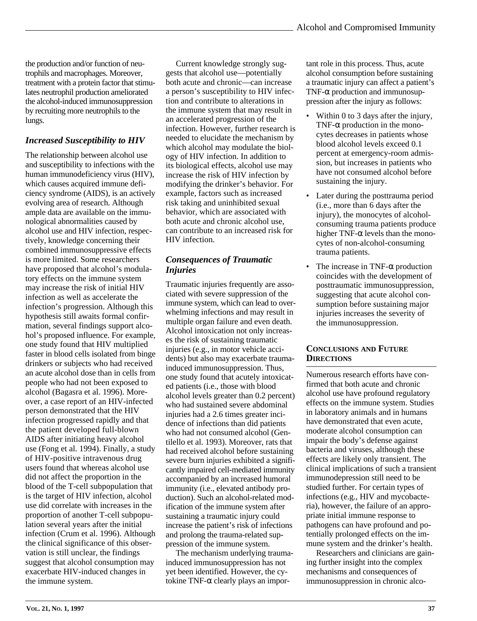the production and/or function of neutrophils and macrophages. Moreover, treatment with a protein factor that stimulates neutrophil production ameliorated the alcohol-induced immunosuppression by recruiting more neutrophils to the lungs.

# *Increased Susceptibility to HIV*

The relationship between alcohol use and susceptibility to infections with the human immunodeficiency virus (HIV), which causes acquired immune deficiency syndrome (AIDS), is an actively evolving area of research. Although ample data are available on the immunological abnormalities caused by alcohol use and HIV infection, respectively, knowledge concerning their combined immunosuppressive effects is more limited. Some researchers have proposed that alcohol's modulatory effects on the immune system may increase the risk of initial HIV infection as well as accelerate the infection's progression. Although this hypothesis still awaits formal confirmation, several findings support alcohol's proposed influence. For example, one study found that HIV multiplied faster in blood cells isolated from binge drinkers or subjects who had received an acute alcohol dose than in cells from people who had not been exposed to alcohol (Bagasra et al. 1996). Moreover, a case report of an HIV-infected person demonstrated that the HIV infection progressed rapidly and that the patient developed full-blown AIDS after initiating heavy alcohol use (Fong et al. 1994). Finally, a study of HIV-positive intravenous drug users found that whereas alcohol use did not affect the proportion in the blood of the T-cell subpopulation that is the target of HIV infection, alcohol use did correlate with increases in the proportion of another T-cell subpopulation several years after the initial infection (Crum et al. 1996). Although the clinical significance of this observation is still unclear, the findings suggest that alcohol consumption may exacerbate HIV-induced changes in the immune system.

Current knowledge strongly suggests that alcohol use—potentially both acute and chronic—can increase a person's susceptibility to HIV infection and contribute to alterations in the immune system that may result in an accelerated progression of the infection. However, further research is needed to elucidate the mechanism by which alcohol may modulate the biology of HIV infection. In addition to its biological effects, alcohol use may increase the risk of HIV infection by modifying the drinker's behavior. For example, factors such as increased risk taking and uninhibited sexual behavior, which are associated with both acute and chronic alcohol use, can contribute to an increased risk for HIV infection.

# *Consequences of Traumatic Injuries*

Traumatic injuries frequently are associated with severe suppression of the immune system, which can lead to overwhelming infections and may result in multiple organ failure and even death. Alcohol intoxication not only increases the risk of sustaining traumatic injuries (e.g., in motor vehicle accidents) but also may exacerbate traumainduced immunosuppression. Thus, one study found that acutely intoxicated patients (i.e., those with blood alcohol levels greater than 0.2 percent) who had sustained severe abdominal injuries had a 2.6 times greater incidence of infections than did patients who had not consumed alcohol (Gentilello et al. 1993). Moreover, rats that had received alcohol before sustaining severe burn injuries exhibited a significantly impaired cell-mediated immunity accompanied by an increased humoral immunity (i.e., elevated antibody production). Such an alcohol-related modification of the immune system after sustaining a traumatic injury could increase the patient's risk of infections and prolong the trauma-related suppression of the immune system.

The mechanism underlying traumainduced immunosuppression has not yet been identified. However, the cytokine TNF-α clearly plays an important role in this process. Thus, acute alcohol consumption before sustaining a traumatic injury can affect a patient's TNF-α production and immunosuppression after the injury as follows:

- Within 0 to 3 days after the injury, TNF- $\alpha$  production in the monocytes decreases in patients whose blood alcohol levels exceed 0.1 percent at emergency-room admission, but increases in patients who have not consumed alcohol before sustaining the injury.
- Later during the posttrauma period (i.e., more than 6 days after the injury), the monocytes of alcoholconsuming trauma patients produce higher TNF- $\alpha$  levels than the monocytes of non-alcohol-consuming trauma patients.
- The increase in TNF- $\alpha$  production coincides with the development of posttraumatic immunosuppression, suggesting that acute alcohol consumption before sustaining major injuries increases the severity of the immunosuppression.

#### **CONCLUSIONS AND FUTURE DIRECTIONS**

Numerous research efforts have confirmed that both acute and chronic alcohol use have profound regulatory effects on the immune system. Studies in laboratory animals and in humans have demonstrated that even acute, moderate alcohol consumption can impair the body's defense against bacteria and viruses, although these effects are likely only transient. The clinical implications of such a transient immunodepression still need to be studied further. For certain types of infections (e.g., HIV and mycobacteria), however, the failure of an appropriate initial immune response to pathogens can have profound and potentially prolonged effects on the immune system and the drinker's health.

Researchers and clinicians are gaining further insight into the complex mechanisms and consequences of immunosuppression in chronic alco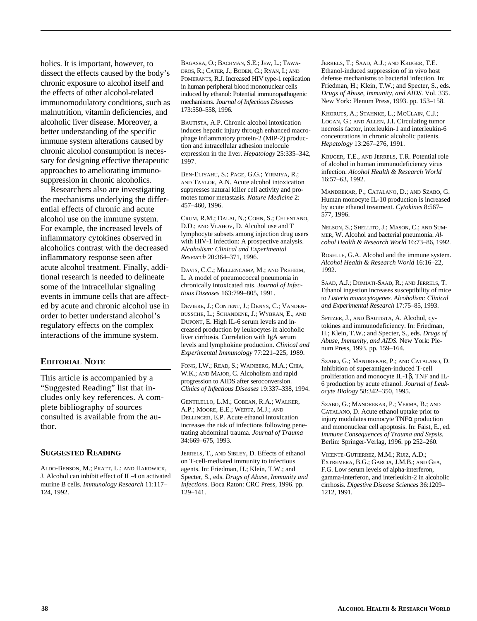holics. It is important, however, to dissect the effects caused by the body's chronic exposure to alcohol itself and the effects of other alcohol-related immunomodulatory conditions, such as malnutrition, vitamin deficiencies, and alcoholic liver disease. Moreover, a better understanding of the specific immune system alterations caused by chronic alcohol consumption is necessary for designing effective therapeutic approaches to ameliorating immunosuppression in chronic alcoholics.

Researchers also are investigating the mechanisms underlying the differential effects of chronic and acute alcohol use on the immune system. For example, the increased levels of inflammatory cytokines observed in alcoholics contrast with the decreased inflammatory response seen after acute alcohol treatment. Finally, additional research is needed to delineate some of the intracellular signaling events in immune cells that are affected by acute and chronic alcohol use in order to better understand alcohol's regulatory effects on the complex interactions of the immune system.

#### **EDITORIAL NOTE**

This article is accompanied by a "Suggested Reading" list that includes only key references. A complete bibliography of sources consulted is available from the author.

#### **SUGGESTED READING**

ALDO-BENSON, M.; PRATT, L.; AND HARDWICK, J. Alcohol can inhibit effect of IL-4 on activated murine B cells. *Immunology Research* 11:117– 124, 1992.

BAGASRA, O.; BACHMAN, S.E.; JEW, L.; TAWA-DROS, R.; CATER, J.; BODEN, G.; RYAN, I.; AND POMERANTS, R.J. Increased HIV type-1 replication in human peripheral blood mononuclear cells induced by ethanol: Potential immunopathogenic mechanisms. *Journal of Infectious Diseases* 173:550–558, 1996.

BAUTISTA, A.P. Chronic alcohol intoxication induces hepatic injury through enhanced macrophage inflammatory protein-2 (MIP-2) production and intracellular adhesion melocule expression in the liver. *Hepatology* 25:335–342, 1997.

BEN-ELIYAHU, S.; PAGE, G.G.; YIRMIYA, R.; AND TAYLOR, A.N. Acute alcohol intoxication suppresses natural killer cell activity and promotes tumor metastasis. *Nature Medicine* 2: 457–460, 1996.

CRUM, R.M.; DALAI, N.; COHN, S.; CELENTANO D.D.; AND VLAHOV, D. Alcohol use and T lymphocyte subsets among injection drug users with HIV-1 infection: A prospective analysis. *Alcoholism: Clinical and Experimental Research* 20:364–371, 1996.

DAVIS, C.C.; MELLENCAMP, M.; AND PREHEIM, L. A model of pneumococcal pneumonia in chronically intoxicated rats. *Journal of Infectious Diseases* 163:799–805, 1991.

DEVIERE, J.; CONTENT, J.; DENYS, C.; VANDEN-BUSSCHE, L.; SCHANDENE, J.; WYBRAN, E., AND DUPONT, E. High IL-6 serum levels and increased production by leukocytes in alcoholic liver cirrhosis. Correlation with IgA serum levels and lymphokine production. *Clinical and Experimental Immunology* 77:221–225, 1989.

FONG, I.W.; READ, S.; WAINBERG, M.A.; CHIA, W.K.; AND MAJOR, C. Alcoholism and rapid progression to AIDS after seroconversion. *Clinics of Infectious Diseases* 19:337–338, 1994.

GENTILELLO, L.M.; COBEAN, R.A.; WALKER, A.P.; MOORE, E.E.; WERTZ, M.J.; AND DELLINGER, E.P. Acute ethanol intoxication increases the risk of infections following penetrating abdominal trauma. *Journal of Trauma* 34:669–675, 1993.

JERRELS, T., AND SIBLEY, D. Effects of ethanol on T-cell-mediated immunity to infectious agents. In: Friedman, H.; Klein, T.W.; and Specter, S., eds. *Drugs of Abuse, Immunity and Infections.* Boca Raton: CRC Press, 1996. pp. 129–141.

JERRELS, T.; SAAD, A.J.; AND KRUGER, T.E. Ethanol-induced suppression of in vivo host defense mechanisms to bacterial infection. In: Friedman, H.; Klein, T.W.; and Specter, S., eds. *Drugs of Abuse, Immunity, and AIDS.* Vol. 335. New York: Plenum Press, 1993. pp. 153–158.

KHORUTS, A.; STAHNKE, L.; MCCLAIN, C.J.; LOGAN, G.; AND ALLEN, J.I. Circulating tumor necrosis factor, interleukin-1 and interleukin-6 concentrations in chronic alcoholic patients. *Hepatology* 13:267–276, 1991.

KRUGER, T.E., AND JERRELS, T.R. Potential role of alcohol in human immunodeficiency virus infection. *Alcohol Health & Research World* 16:57–63, 1992.

MANDREKAR, P.; CATALANO, D.; AND SZABO, G. Human monocyte IL-10 production is increased by acute ethanol treatment. *Cytokines* 8:567– 577, 1996.

NELSON, S.; SHELLITO, J.; MASON, C.; AND SUM-MER, W. Alcohol and bacterial pneumonia. *Alcohol Health & Research World* 16:73–86, 1992.

ROSELLE, G.A. Alcohol and the immune system. *Alcohol Health & Research World* 16:16–22, 1992.

SAAD, A.J.; DOMIATI-SAAD, R.; AND JERRELS, T. Ethanol ingestion increases susceptibility of mice to *Listeria monocytogenes. Alcoholism: Clinical and Experimental Research* 17:75–85, 1993.

SPITZER, J., AND BAUTISTA, A. Alcohol, cytokines and immunodeficiency. In: Friedman, H.; Klein, T.W.; and Specter, S., eds. *Drugs of Abuse, Immunity, and AIDS.* New York: Plenum Press, 1993. pp. 159–164.

SZABO, G.; MANDREKAR, P.; AND CATALANO, D. Inhibition of superantigen-induced T-cell proliferation and monocyte IL-1β, TNF and IL-6 production by acute ethanol. *Journal of Leukocyte Biology* 58:342–350, 1995.

SZABO, G.; MANDREKAR, P.; VERMA, B.; AND CATALANO, D. Acute ethanol uptake prior to injury modulates monocyte TNFα production and mononuclear cell apoptosis. In: Faist, E., ed. *Immune Consequences of Trauma and Sepsis.* Berlin: Springer-Verlag, 1996. pp 252–260.

VICENTE-GUTIERREZ, M.M.; RUIZ, A.D.; EXTREMERA, B.G.; GARCIA, J.M.B.; AND GEA, F.G. Low serum levels of alpha-interferon, gamma-interferon, and interleukin-2 in alcoholic cirrhosis. *Digestive Disease Sciences* 36:1209– 1212, 1991.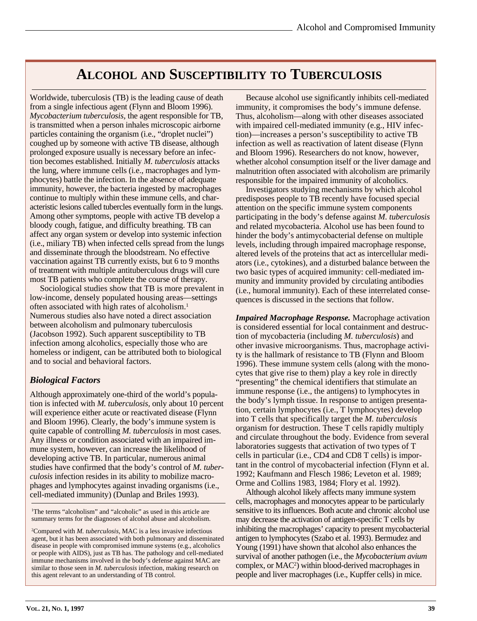# **ALCOHOL AND SUSCEPTIBILITY TO TUBERCULOSIS**

Worldwide, tuberculosis (TB) is the leading cause of death from a single infectious agent (Flynn and Bloom 1996). *Mycobacterium tuberculosis,* the agent responsible for TB, is transmitted when a person inhales microscopic airborne particles containing the organism (i.e., "droplet nuclei") coughed up by someone with active TB disease, although prolonged exposure usually is necessary before an infection becomes established. Initially *M. tuberculosis* attacks the lung, where immune cells (i.e., macrophages and lymphocytes) battle the infection. In the absence of adequate immunity, however, the bacteria ingested by macrophages continue to multiply within these immune cells, and characteristic lesions called tubercles eventually form in the lungs. Among other symptoms, people with active TB develop a bloody cough, fatigue, and difficulty breathing. TB can affect any organ system or develop into systemic infection (i.e., miliary TB) when infected cells spread from the lungs and disseminate through the bloodstream. No effective vaccination against TB currently exists, but 6 to 9 months of treatment with multiple antituberculous drugs will cure most TB patients who complete the course of therapy.

Sociological studies show that TB is more prevalent in low-income, densely populated housing areas—settings often associated with high rates of alcoholism.<sup>1</sup> Numerous studies also have noted a direct association between alcoholism and pulmonary tuberculosis (Jacobson 1992). Such apparent susceptibility to TB infection among alcoholics, especially those who are homeless or indigent, can be attributed both to biological and to social and behavioral factors.

# *Biological Factors*

Although approximately one-third of the world's population is infected with *M. tuberculosis,* only about 10 percent will experience either acute or reactivated disease (Flynn and Bloom 1996). Clearly, the body's immune system is quite capable of controlling *M. tuberculosis* in most cases. Any illness or condition associated with an impaired immune system, however, can increase the likelihood of developing active TB. In particular, numerous animal studies have confirmed that the body's control of *M. tuberculosis* infection resides in its ability to mobilize macrophages and lymphocytes against invading organisms (i.e., cell-mediated immunity) (Dunlap and Briles 1993).

1 The terms "alcoholism" and "alcoholic" as used in this article are summary terms for the diagnoses of alcohol abuse and alcoholism.

2 Compared with *M. tuberculosis,* MAC is a less invasive infectious agent, but it has been associated with both pulmonary and disseminated disease in people with compromised immune systems (e.g., alcoholics or people with AIDS), just as TB has. The pathology and cell-mediated immune mechanisms involved in the body's defense against MAC are similar to those seen in *M. tuberculosis* infection, making research on this agent relevant to an understanding of TB control.

Because alcohol use significantly inhibits cell-mediated immunity, it compromises the body's immune defense. Thus, alcoholism—along with other diseases associated with impaired cell-mediated immunity (e.g., HIV infection)—increases a person's susceptibility to active TB infection as well as reactivation of latent disease (Flynn and Bloom 1996). Researchers do not know, however, whether alcohol consumption itself or the liver damage and malnutrition often associated with alcoholism are primarily responsible for the impaired immunity of alcoholics.

Investigators studying mechanisms by which alcohol predisposes people to TB recently have focused special attention on the specific immune system components participating in the body's defense against *M. tuberculosis* and related mycobacteria. Alcohol use has been found to hinder the body's antimycobacterial defense on multiple levels, including through impaired macrophage response, altered levels of the proteins that act as intercellular mediators (i.e., cytokines), and a disturbed balance between the two basic types of acquired immunity: cell-mediated immunity and immunity provided by circulating antibodies (i.e., humoral immunity). Each of these interrelated consequences is discussed in the sections that follow.

*Impaired Macrophage Response.* Macrophage activation is considered essential for local containment and destruction of mycobacteria (including *M. tuberculosis*) and other invasive microorganisms. Thus, macrophage activity is the hallmark of resistance to TB (Flynn and Bloom 1996). These immune system cells (along with the monocytes that give rise to them) play a key role in directly "presenting" the chemical identifiers that stimulate an immune response (i.e., the antigens) to lymphocytes in the body's lymph tissue. In response to antigen presentation, certain lymphocytes (i.e., T lymphocytes) develop into T cells that specifically target the *M. tuberculosis* organism for destruction. These T cells rapidly multiply and circulate throughout the body. Evidence from several laboratories suggests that activation of two types of T cells in particular (i.e., CD4 and CD8 T cells) is important in the control of mycobacterial infection (Flynn et al. 1992; Kaufmann and Flesch 1986; Leveton et al. 1989; Orme and Collins 1983, 1984; Flory et al. 1992).

Although alcohol likely affects many immune system cells, macrophages and monocytes appear to be particularly sensitive to its influences. Both acute and chronic alcohol use may decrease the activation of antigen-specific T cells by inhibiting the macrophages' capacity to present mycobacterial antigen to lymphocytes (Szabo et al. 1993). Bermudez and Young (1991) have shown that alcohol also enhances the survival of another pathogen (i.e., the *Mycobacterium avium* complex, or MAC<sup>2</sup>) within blood-derived macrophages in people and liver macrophages (i.e., Kupffer cells) in mice.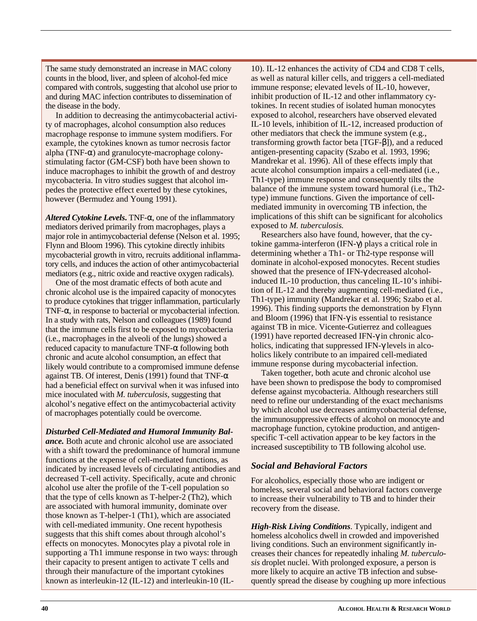The same study demonstrated an increase in MAC colony counts in the blood, liver, and spleen of alcohol-fed mice compared with controls, suggesting that alcohol use prior to and during MAC infection contributes to dissemination of the disease in the body.

In addition to decreasing the antimycobacterial activity of macrophages, alcohol consumption also reduces macrophage response to immune system modifiers. For example, the cytokines known as tumor necrosis factor alpha ( $TNF-\alpha$ ) and granulocyte-macrophage colonystimulating factor (GM-CSF) both have been shown to induce macrophages to inhibit the growth of and destroy mycobacteria. In vitro studies suggest that alcohol impedes the protective effect exerted by these cytokines, however (Bermudez and Young 1991).

*Altered Cytokine Levels***.** TNF-α, one of the inflammatory mediators derived primarily from macrophages, plays a major role in antimycobacterial defense (Nelson et al. 1995; Flynn and Bloom 1996). This cytokine directly inhibits mycobacterial growth in vitro, recruits additional inflammatory cells, and induces the action of other antimycobacterial mediators (e.g., nitric oxide and reactive oxygen radicals).

One of the most dramatic effects of both acute and chronic alcohol use is the impaired capacity of monocytes to produce cytokines that trigger inflammation, particularly TNF-α, in response to bacterial or mycobacterial infection. In a study with rats, Nelson and colleagues (1989) found that the immune cells first to be exposed to mycobacteria (i.e., macrophages in the alveoli of the lungs) showed a reduced capacity to manufacture  $TNF-\alpha$  following both chronic and acute alcohol consumption, an effect that likely would contribute to a compromised immune defense against TB. Of interest, Denis (1991) found that TNF- $\alpha$ had a beneficial effect on survival when it was infused into mice inoculated with *M. tuberculosis,* suggesting that alcohol's negative effect on the antimycobacterial activity of macrophages potentially could be overcome.

*Disturbed Cell-Mediated and Humoral Immunity Balance.* Both acute and chronic alcohol use are associated with a shift toward the predominance of humoral immune functions at the expense of cell-mediated functions, as indicated by increased levels of circulating antibodies and decreased T-cell activity. Specifically, acute and chronic alcohol use alter the profile of the T-cell population so that the type of cells known as T-helper-2 (Th2), which are associated with humoral immunity, dominate over those known as T-helper-1 (Th1), which are associated with cell-mediated immunity. One recent hypothesis suggests that this shift comes about through alcohol's effects on monocytes. Monocytes play a pivotal role in supporting a Th1 immune response in two ways: through their capacity to present antigen to activate T cells and through their manufacture of the important cytokines known as interleukin-12 (IL-12) and interleukin-10 (IL-

10). IL-12 enhances the activity of CD4 and CD8 T cells, as well as natural killer cells, and triggers a cell-mediated immune response; elevated levels of IL-10, however, inhibit production of IL-12 and other inflammatory cytokines. In recent studies of isolated human monocytes exposed to alcohol, researchers have observed elevated IL-10 levels, inhibition of IL-12, increased production of other mediators that check the immune system (e.g., transforming growth factor beta [TGF-β]), and a reduced antigen-presenting capacity (Szabo et al. 1993, 1996; Mandrekar et al. 1996). All of these effects imply that acute alcohol consumption impairs a cell-mediated (i.e., Th1-type) immune response and consequently tilts the balance of the immune system toward humoral (i.e., Th2 type) immune functions. Given the importance of cellmediated immunity in overcoming TB infection, the implications of this shift can be significant for alcoholics exposed to *M. tuberculosis.*

Researchers also have found, however, that the cytokine gamma-interferon (IFN-γ) plays a critical role in determining whether a Th1- or Th2-type response will dominate in alcohol-exposed monocytes. Recent studies showed that the presence of IFN-γ decreased alcoholinduced IL-10 production, thus canceling IL-10's inhibition of IL-12 and thereby augmenting cell-mediated (i.e., Th1-type) immunity (Mandrekar et al. 1996; Szabo et al. 1996). This finding supports the demonstration by Flynn and Bloom (1996) that IFN- $\gamma$  is essential to resistance against TB in mice. Vicente-Gutierrez and colleagues (1991) have reported decreased IFN-γ in chronic alcoholics, indicating that suppressed IFN-γ levels in alcoholics likely contribute to an impaired cell-mediated immune response during mycobacterial infection.

Taken together, both acute and chronic alcohol use have been shown to predispose the body to compromised defense against mycobacteria. Although researchers still need to refine our understanding of the exact mechanisms by which alcohol use decreases antimycobacterial defense, the immunosuppressive effects of alcohol on monocyte and macrophage function, cytokine production, and antigenspecific T-cell activation appear to be key factors in the increased susceptibility to TB following alcohol use.

# *Social and Behavioral Factors*

For alcoholics, especially those who are indigent or homeless, several social and behavioral factors converge to increase their vulnerability to TB and to hinder their recovery from the disease.

*High-Risk Living Conditions*. Typically, indigent and homeless alcoholics dwell in crowded and impoverished living conditions. Such an environment significantly increases their chances for repeatedly inhaling *M. tuberculosis* droplet nuclei. With prolonged exposure, a person is more likely to acquire an active TB infection and subsequently spread the disease by coughing up more infectious